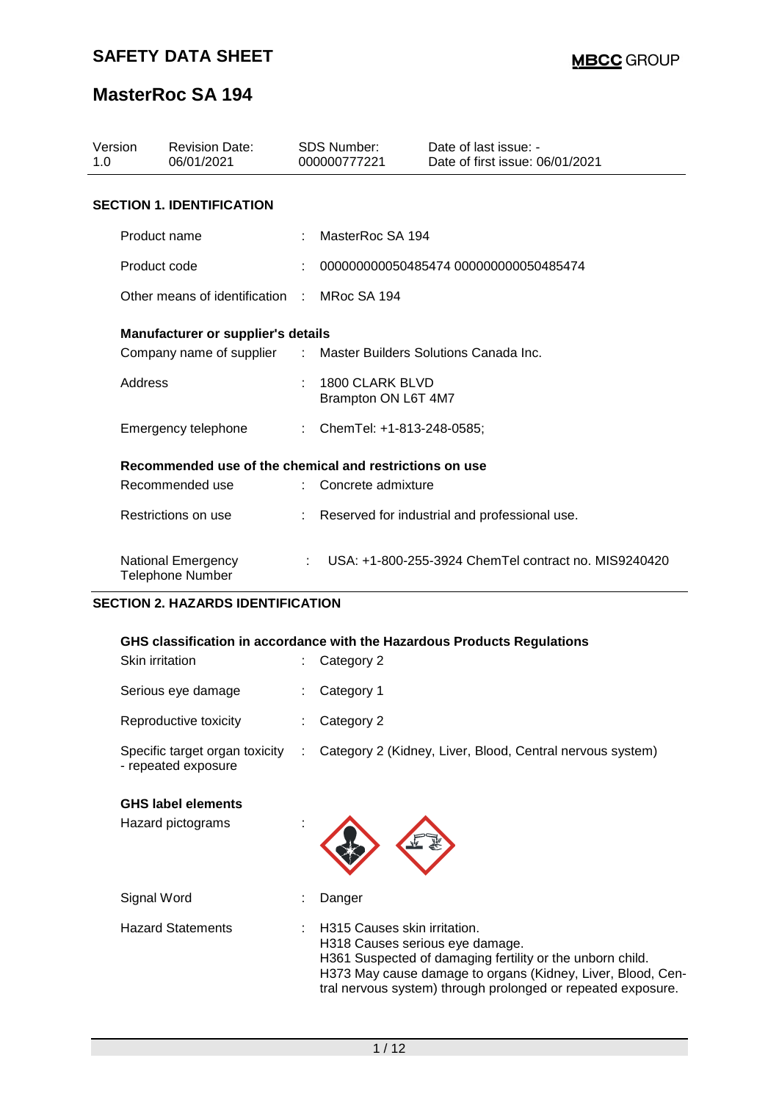| Version<br>1.0                   |                     | <b>Revision Date:</b><br>06/01/2021                     | <b>SDS Number:</b><br>000000777221 |                                        | Date of last issue: -<br>Date of first issue: 06/01/2021 |  |  |
|----------------------------------|---------------------|---------------------------------------------------------|------------------------------------|----------------------------------------|----------------------------------------------------------|--|--|
| <b>SECTION 1. IDENTIFICATION</b> |                     |                                                         |                                    |                                        |                                                          |  |  |
|                                  | Product name        |                                                         |                                    | MasterRoc SA 194                       |                                                          |  |  |
|                                  | Product code        |                                                         |                                    |                                        | 000000000050485474 000000000050485474                    |  |  |
|                                  |                     | Other means of identification                           |                                    | MRoc SA 194                            |                                                          |  |  |
|                                  |                     | Manufacturer or supplier's details                      |                                    |                                        |                                                          |  |  |
|                                  |                     | Company name of supplier                                | $\mathcal{L}^{\text{max}}$         | Master Builders Solutions Canada Inc.  |                                                          |  |  |
|                                  | Address             |                                                         |                                    | 1800 CLARK BLVD<br>Brampton ON L6T 4M7 |                                                          |  |  |
|                                  | Emergency telephone |                                                         |                                    | ChemTel: +1-813-248-0585;              |                                                          |  |  |
|                                  |                     | Recommended use of the chemical and restrictions on use |                                    |                                        |                                                          |  |  |
|                                  | Recommended use     |                                                         |                                    | Concrete admixture                     |                                                          |  |  |
|                                  |                     | Restrictions on use                                     |                                    |                                        | Reserved for industrial and professional use.            |  |  |
|                                  |                     | <b>National Emergency</b><br><b>Telephone Number</b>    | ÷                                  |                                        | USA: +1-800-255-3924 ChemTel contract no. MIS9240420     |  |  |

### **SECTION 2. HAZARDS IDENTIFICATION**

#### **GHS classification in accordance with the Hazardous Products Regulations**

| Skin irritation                                       |   | Category 2                                                |
|-------------------------------------------------------|---|-----------------------------------------------------------|
| Serious eye damage                                    |   | Category 1                                                |
| Reproductive toxicity                                 |   | Category 2                                                |
| Specific target organ toxicity<br>- repeated exposure | ÷ | Category 2 (Kidney, Liver, Blood, Central nervous system) |
| <b>GHS label elements</b><br>Hazard pictograms        |   |                                                           |

Signal Word : Danger Hazard Statements : H315 Causes skin irritation. H318 Causes serious eye damage. H361 Suspected of damaging fertility or the unborn child. H373 May cause damage to organs (Kidney, Liver, Blood, Central nervous system) through prolonged or repeated exposure.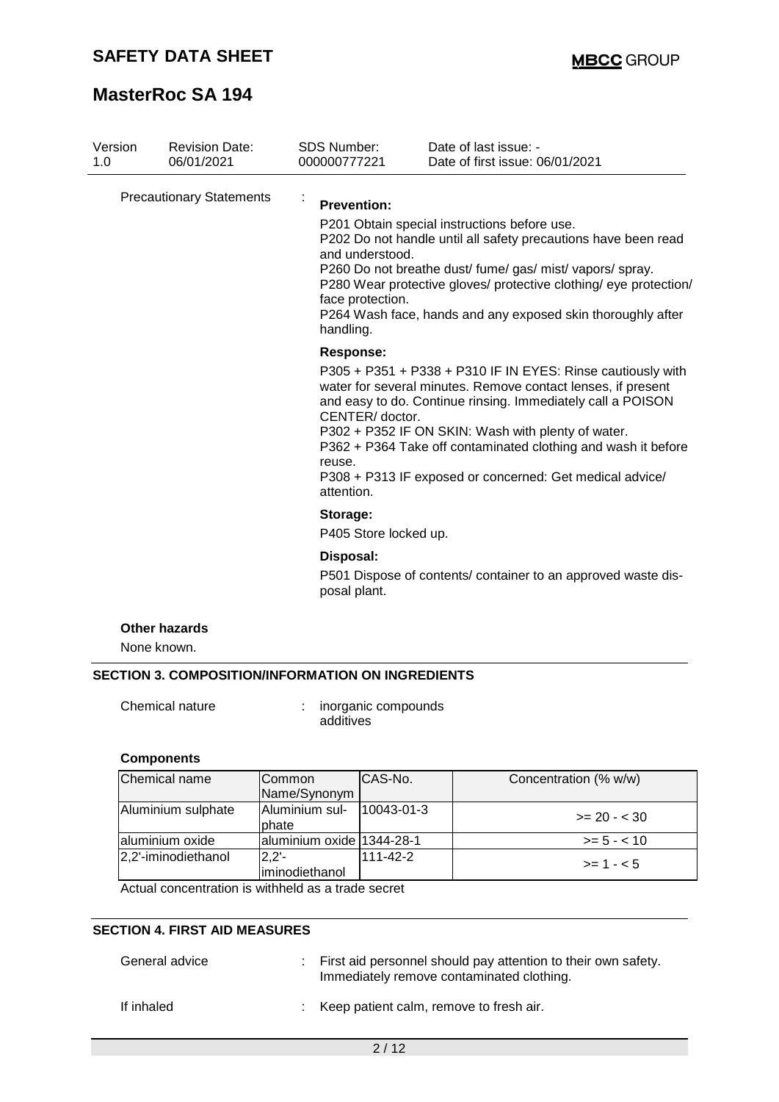| Version                                | <b>Revision Date:</b><br>06/01/2021 | SDS Number:<br>000000777221                                            | Date of last issue: -<br>Date of first issue: 06/01/2021                                                                                                                                                                                                                                                                                                                      |
|----------------------------------------|-------------------------------------|------------------------------------------------------------------------|-------------------------------------------------------------------------------------------------------------------------------------------------------------------------------------------------------------------------------------------------------------------------------------------------------------------------------------------------------------------------------|
| 1.0<br><b>Precautionary Statements</b> |                                     | <b>Prevention:</b><br>and understood.<br>face protection.<br>handling. | P201 Obtain special instructions before use.<br>P202 Do not handle until all safety precautions have been read<br>P260 Do not breathe dust/ fume/ gas/ mist/ vapors/ spray.<br>P280 Wear protective gloves/ protective clothing/ eye protection/<br>P264 Wash face, hands and any exposed skin thoroughly after                                                               |
|                                        |                                     | <b>Response:</b><br>CENTER/ doctor.<br>reuse.<br>attention.            | P305 + P351 + P338 + P310 IF IN EYES: Rinse cautiously with<br>water for several minutes. Remove contact lenses, if present<br>and easy to do. Continue rinsing. Immediately call a POISON<br>P302 + P352 IF ON SKIN: Wash with plenty of water.<br>P362 + P364 Take off contaminated clothing and wash it before<br>P308 + P313 IF exposed or concerned: Get medical advice/ |
|                                        |                                     | Storage:<br>P405 Store locked up.                                      |                                                                                                                                                                                                                                                                                                                                                                               |
|                                        |                                     | Disposal:                                                              |                                                                                                                                                                                                                                                                                                                                                                               |
|                                        |                                     | posal plant.                                                           | P501 Dispose of contents/ container to an approved waste dis-                                                                                                                                                                                                                                                                                                                 |

#### None known.

# **SECTION 3. COMPOSITION/INFORMATION ON INGREDIENTS**

Chemical nature : inorganic compounds additives

### **Components**

| Chemical name       | Common<br>Name/Synonym     | CAS-No.          | Concentration (% w/w) |
|---------------------|----------------------------|------------------|-----------------------|
| Aluminium sulphate  | Aluminium sul-<br>phate    | $10043 - 01 - 3$ | $>= 20 - 30$          |
| aluminium oxide     | aluminium oxide 1344-28-1  |                  | $>= 5 - < 10$         |
| 2,2'-iminodiethanol | $2,2'$ -<br>iminodiethanol | 111-42-2         | $>= 1 - 5$            |

Actual concentration is withheld as a trade secret

#### **SECTION 4. FIRST AID MEASURES**

| General advice | : First aid personnel should pay attention to their own safety.<br>Immediately remove contaminated clothing. |  |
|----------------|--------------------------------------------------------------------------------------------------------------|--|
| If inhaled     | : Keep patient calm, remove to fresh air.                                                                    |  |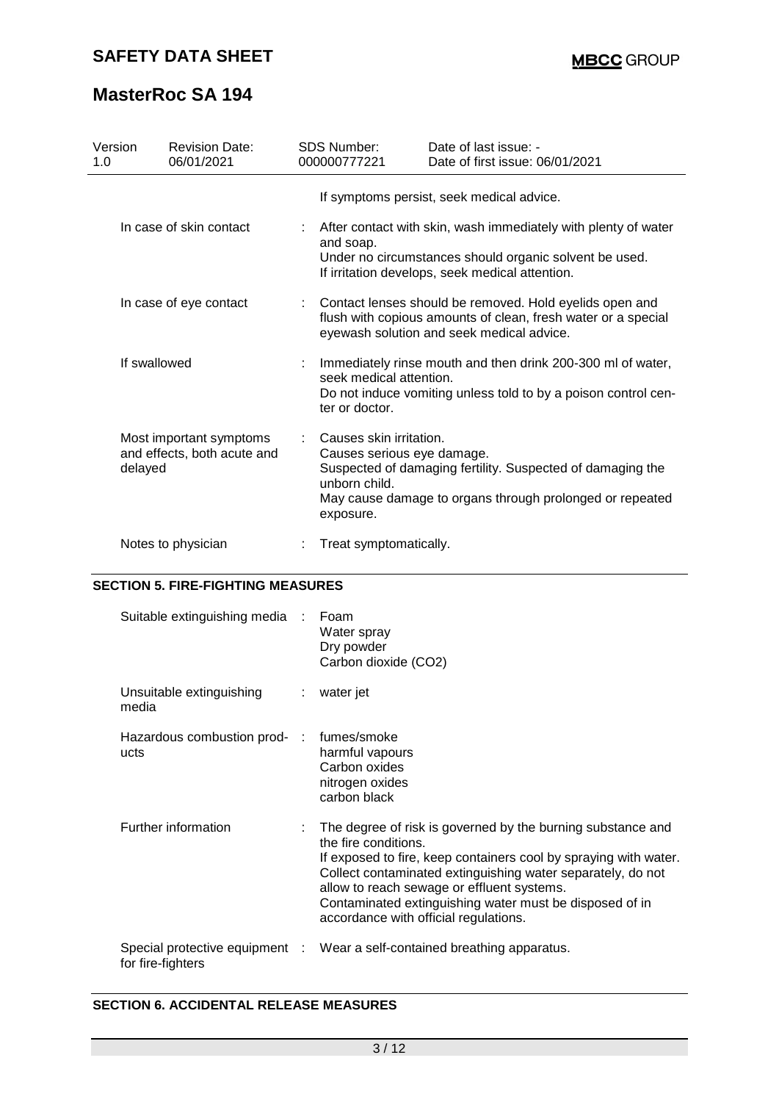# **SAFETY DATA SHEET**

# **MasterRoc SA 194**

| Version<br>1.0 | <b>Revision Date:</b><br>06/01/2021                    | <b>SDS Number:</b><br>000000777221                                                  | Date of last issue: -<br>Date of first issue: 06/01/2021                                                                                                                    |
|----------------|--------------------------------------------------------|-------------------------------------------------------------------------------------|-----------------------------------------------------------------------------------------------------------------------------------------------------------------------------|
|                |                                                        |                                                                                     | If symptoms persist, seek medical advice.                                                                                                                                   |
|                | In case of skin contact                                | and soap.                                                                           | After contact with skin, wash immediately with plenty of water<br>Under no circumstances should organic solvent be used.<br>If irritation develops, seek medical attention. |
|                | In case of eye contact                                 |                                                                                     | Contact lenses should be removed. Hold eyelids open and<br>flush with copious amounts of clean, fresh water or a special<br>eyewash solution and seek medical advice.       |
|                | If swallowed                                           | seek medical attention.<br>ter or doctor.                                           | Immediately rinse mouth and then drink 200-300 ml of water,<br>Do not induce vomiting unless told to by a poison control cen-                                               |
| delayed        | Most important symptoms<br>and effects, both acute and | Causes skin irritation.<br>Causes serious eye damage.<br>unborn child.<br>exposure. | Suspected of damaging fertility. Suspected of damaging the<br>May cause damage to organs through prolonged or repeated                                                      |
|                | Notes to physician                                     | Treat symptomatically.                                                              |                                                                                                                                                                             |

## **SECTION 5. FIRE-FIGHTING MEASURES**

| Suitable extinguishing media :       | Foam<br>Water spray<br>Dry powder<br>Carbon dioxide (CO2)                                                                                                                                                                                                                                                                                                                  |
|--------------------------------------|----------------------------------------------------------------------------------------------------------------------------------------------------------------------------------------------------------------------------------------------------------------------------------------------------------------------------------------------------------------------------|
| Unsuitable extinguishing<br>media    | $:$ water jet                                                                                                                                                                                                                                                                                                                                                              |
| Hazardous combustion prod- :<br>ucts | fumes/smoke<br>harmful vapours<br>Carbon oxides<br>nitrogen oxides<br>carbon black                                                                                                                                                                                                                                                                                         |
| Further information                  | : The degree of risk is governed by the burning substance and<br>the fire conditions.<br>If exposed to fire, keep containers cool by spraying with water.<br>Collect contaminated extinguishing water separately, do not<br>allow to reach sewage or effluent systems.<br>Contaminated extinguishing water must be disposed of in<br>accordance with official regulations. |
| for fire-fighters                    | Special protective equipment : Wear a self-contained breathing apparatus.                                                                                                                                                                                                                                                                                                  |

## **SECTION 6. ACCIDENTAL RELEASE MEASURES**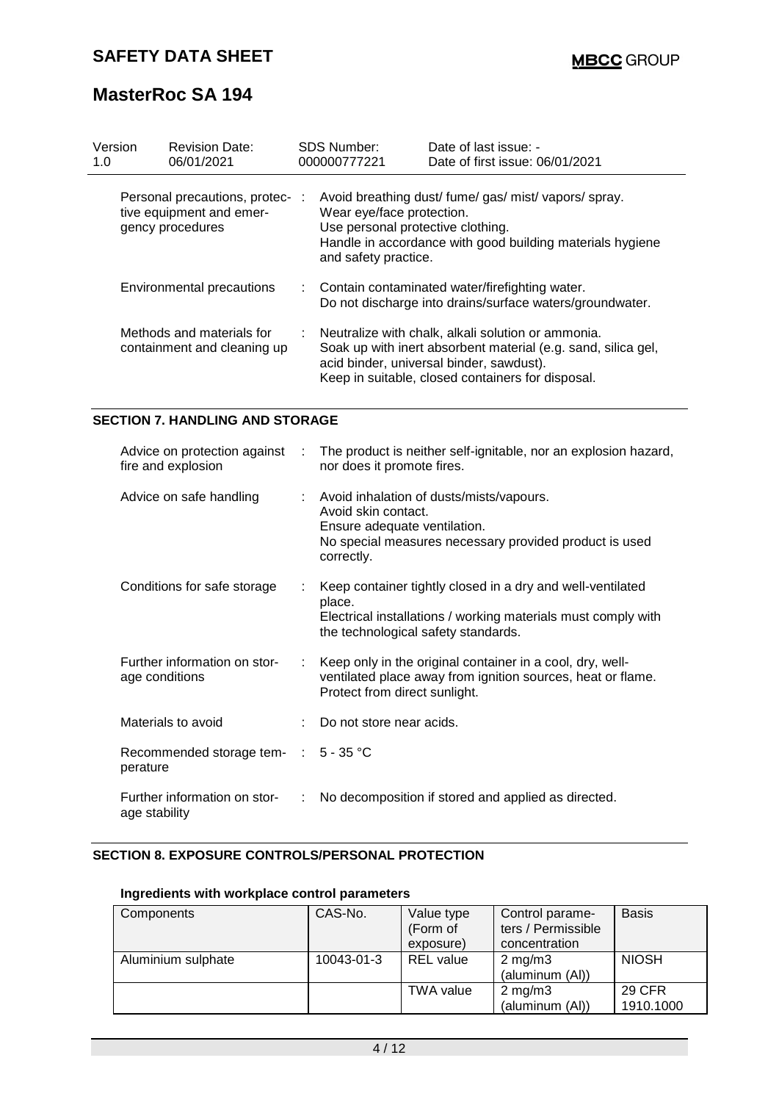| Version<br>1.0 | <b>Revision Date:</b><br>06/01/2021                                            | <b>SDS Number:</b><br>000000777221                                                     | Date of last issue: -<br>Date of first issue: 06/01/2021                                                                                                                                                             |
|----------------|--------------------------------------------------------------------------------|----------------------------------------------------------------------------------------|----------------------------------------------------------------------------------------------------------------------------------------------------------------------------------------------------------------------|
|                | Personal precautions, protec-:<br>tive equipment and emer-<br>gency procedures | Wear eye/face protection.<br>Use personal protective clothing.<br>and safety practice. | Avoid breathing dust/ fume/ gas/ mist/ vapors/ spray.<br>Handle in accordance with good building materials hygiene                                                                                                   |
|                | Environmental precautions                                                      |                                                                                        | : Contain contaminated water/firefighting water.<br>Do not discharge into drains/surface waters/groundwater.                                                                                                         |
|                | Methods and materials for<br>containment and cleaning up                       |                                                                                        | Neutralize with chalk, alkali solution or ammonia.<br>Soak up with inert absorbent material (e.g. sand, silica gel,<br>acid binder, universal binder, sawdust).<br>Keep in suitable, closed containers for disposal. |

### **SECTION 7. HANDLING AND STORAGE**

| Advice on protection against :<br>fire and explosion |   | The product is neither self-ignitable, nor an explosion hazard,<br>nor does it promote fires.                                                                                |
|------------------------------------------------------|---|------------------------------------------------------------------------------------------------------------------------------------------------------------------------------|
| Advice on safe handling                              |   | : Avoid inhalation of dusts/mists/vapours.<br>Avoid skin contact.<br>Ensure adequate ventilation.<br>No special measures necessary provided product is used<br>correctly.    |
| Conditions for safe storage                          |   | Keep container tightly closed in a dry and well-ventilated<br>place.<br>Electrical installations / working materials must comply with<br>the technological safety standards. |
| Further information on stor-<br>age conditions       |   | : Keep only in the original container in a cool, dry, well-<br>ventilated place away from ignition sources, heat or flame.<br>Protect from direct sunlight.                  |
| Materials to avoid                                   |   | Do not store near acids.                                                                                                                                                     |
| Recommended storage tem- : 5 - 35 °C<br>perature     |   |                                                                                                                                                                              |
| Further information on stor-<br>age stability        | ÷ | No decomposition if stored and applied as directed.                                                                                                                          |

# **SECTION 8. EXPOSURE CONTROLS/PERSONAL PROTECTION**

### **Ingredients with workplace control parameters**

| Components         | CAS-No.    | Value type<br>(Form of<br>exposure) | Control parame-<br>ters / Permissible<br>concentration | <b>Basis</b>        |
|--------------------|------------|-------------------------------------|--------------------------------------------------------|---------------------|
| Aluminium sulphate | 10043-01-3 | <b>REL</b> value                    | $2 \text{ mg/m}$<br>(aluminum (AI))                    | <b>NIOSH</b>        |
|                    |            | <b>TWA value</b>                    | $2 \text{ mg/m}$<br>(aluminum (AI))                    | 29 CFR<br>1910.1000 |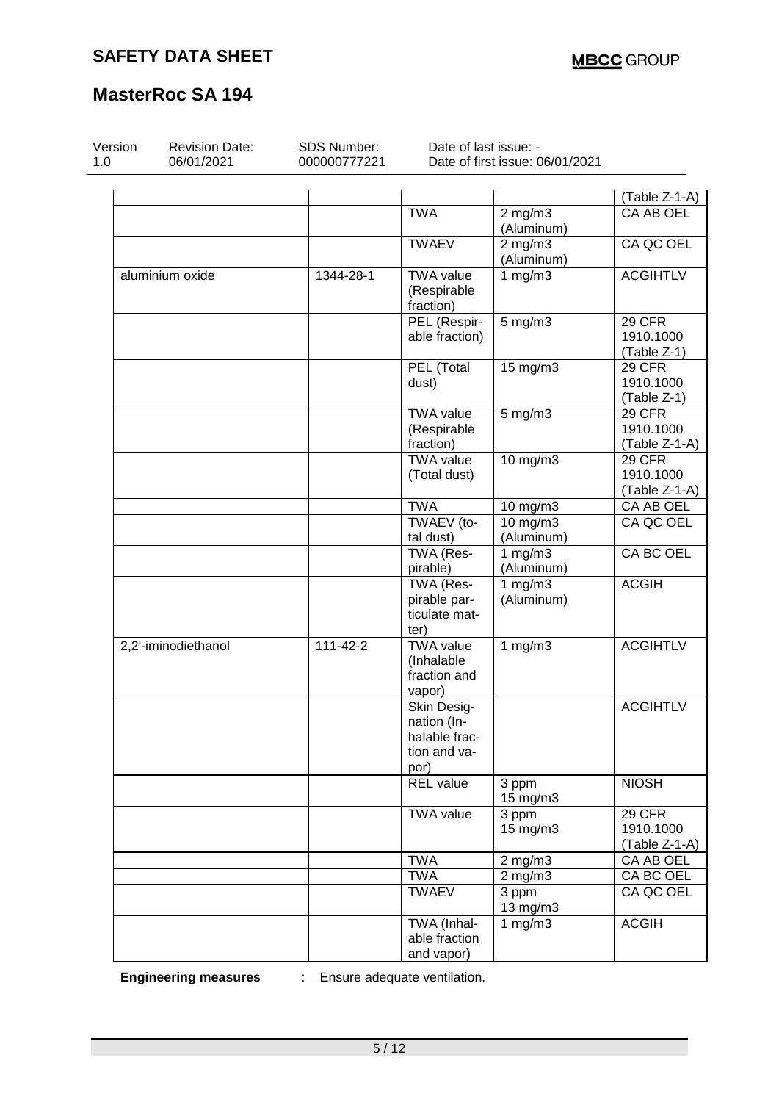| Version<br>1.0 | <b>Revision Date:</b><br>06/01/2021 | <b>SDS Number:</b><br>000000777221 | Date of last issue: -                                               | Date of first issue: 06/01/2021 |                                        |
|----------------|-------------------------------------|------------------------------------|---------------------------------------------------------------------|---------------------------------|----------------------------------------|
|                |                                     |                                    |                                                                     |                                 | (Table Z-1-A)                          |
|                |                                     |                                    | <b>TWA</b>                                                          | $2$ mg/m $3$<br>(Aluminum)      | CA AB OEL                              |
|                |                                     |                                    | <b>TWAEV</b>                                                        | $2$ mg/m $3$<br>(Aluminum)      | CA QC OEL                              |
|                | aluminium oxide                     | 1344-28-1                          | <b>TWA value</b><br>(Respirable<br>fraction)                        | 1 $mg/m3$                       | <b>ACGIHTLV</b>                        |
|                |                                     |                                    | PEL (Respir-<br>able fraction)                                      | $5$ mg/m $3$                    | 29 CFR<br>1910.1000<br>(Table Z-1)     |
|                |                                     |                                    | PEL (Total<br>dust)                                                 | 15 mg/m3                        | 29 CFR<br>1910.1000<br>(Table Z-1)     |
|                |                                     |                                    | <b>TWA value</b><br>(Respirable<br>fraction)                        | $5$ mg/m $3$                    | 29 CFR<br>1910.1000<br>$(Table Z-1-A)$ |
|                |                                     |                                    | <b>TWA value</b><br>(Total dust)                                    | 10 mg/m3                        | 29 CFR<br>1910.1000<br>(Table Z-1-A)   |
|                |                                     |                                    | <b>TWA</b>                                                          | 10 mg/m3                        | CA AB OEL                              |
|                |                                     |                                    | TWAEV (to-<br>tal dust)                                             | 10 mg/m3<br>(Aluminum)          | CA QC OEL                              |
|                |                                     |                                    | TWA (Res-<br>pirable)                                               | 1 $mg/m3$<br>(Aluminum)         | CA BC OEL                              |
|                |                                     |                                    | TWA (Res-<br>pirable par-<br>ticulate mat-<br>ter)                  | 1 $mg/m3$<br>(Aluminum)         | <b>ACGIH</b>                           |
|                | 2,2'-iminodiethanol                 | $111 - 42 - 2$                     | <b>TWA value</b><br>(Inhalable<br>fraction and<br>vapor)            | 1 $mg/m3$                       | <b>ACGIHTLV</b>                        |
|                |                                     |                                    | Skin Desig-<br>nation (In-<br>halable frac-<br>tion and va-<br>por) |                                 | <b>ACGIHTLV</b>                        |
|                |                                     |                                    | <b>REL</b> value                                                    | 3 ppm<br>15 mg/m3               | <b>NIOSH</b>                           |
|                |                                     |                                    | <b>TWA value</b>                                                    | 3 ppm<br>15 mg/m3               | 29 CFR<br>1910.1000<br>(Table Z-1-A)   |
|                |                                     |                                    | <b>TWA</b>                                                          | $2$ mg/m $3$                    | CA AB OEL                              |
|                |                                     |                                    | <b>TWA</b>                                                          | $2$ mg/m $3$                    | CA BC OEL                              |
|                |                                     |                                    | <b>TWAEV</b>                                                        | 3 ppm<br>13 mg/m3               | CA QC OEL                              |
|                |                                     |                                    | TWA (Inhal-<br>able fraction<br>and vapor)                          | $1 \,\mathrm{mg/m}$             | <b>ACGIH</b>                           |

**Engineering measures** : Ensure adequate ventilation.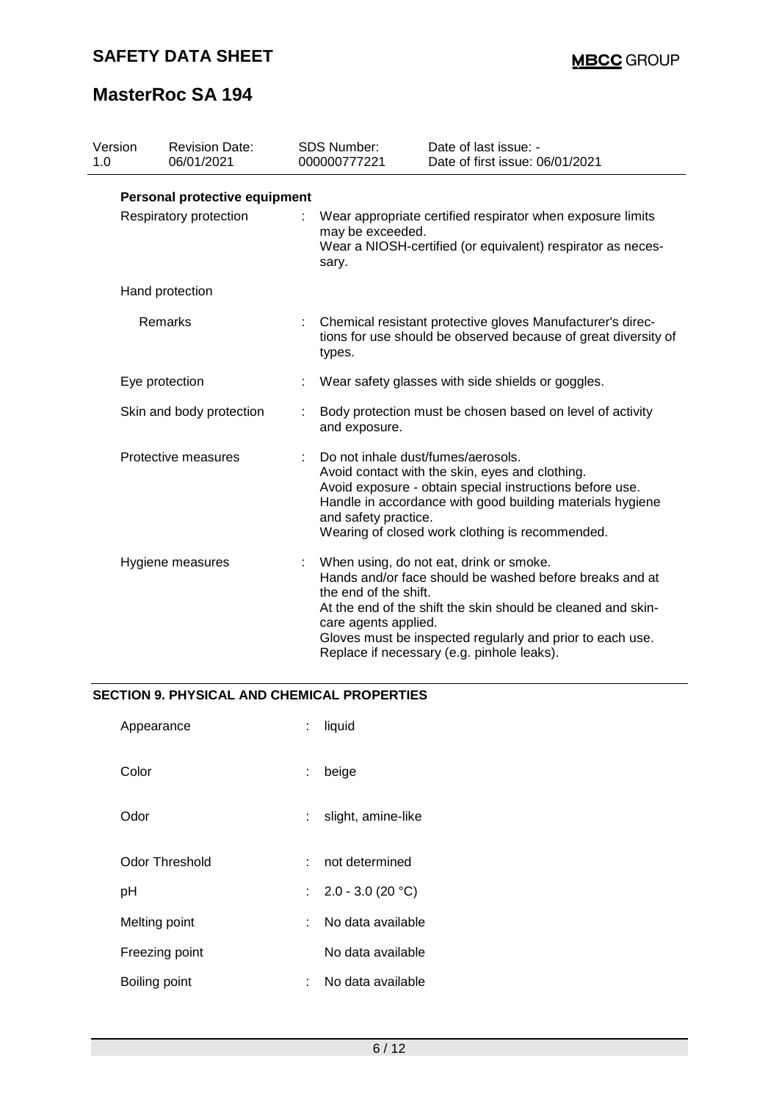| Version<br>1.0           | <b>Revision Date:</b><br>06/01/2021 |    | <b>SDS Number:</b><br>000000777221                                                                                                                                                                                                                                                        | Date of last issue: -<br>Date of first issue: 06/01/2021                                                                                                                                                                                                                      |
|--------------------------|-------------------------------------|----|-------------------------------------------------------------------------------------------------------------------------------------------------------------------------------------------------------------------------------------------------------------------------------------------|-------------------------------------------------------------------------------------------------------------------------------------------------------------------------------------------------------------------------------------------------------------------------------|
|                          | Personal protective equipment       |    |                                                                                                                                                                                                                                                                                           |                                                                                                                                                                                                                                                                               |
|                          | Respiratory protection              |    | Wear appropriate certified respirator when exposure limits<br>may be exceeded.<br>Wear a NIOSH-certified (or equivalent) respirator as neces-<br>sary.                                                                                                                                    |                                                                                                                                                                                                                                                                               |
|                          | Hand protection                     |    |                                                                                                                                                                                                                                                                                           |                                                                                                                                                                                                                                                                               |
| Remarks                  |                                     |    | Chemical resistant protective gloves Manufacturer's direc-<br>tions for use should be observed because of great diversity of<br>types.                                                                                                                                                    |                                                                                                                                                                                                                                                                               |
|                          | Eye protection                      |    |                                                                                                                                                                                                                                                                                           | Wear safety glasses with side shields or goggles.                                                                                                                                                                                                                             |
|                          | Skin and body protection            |    | and exposure.                                                                                                                                                                                                                                                                             | Body protection must be chosen based on level of activity                                                                                                                                                                                                                     |
| Protective measures<br>÷ |                                     |    | Do not inhale dust/fumes/aerosols.<br>Avoid contact with the skin, eyes and clothing.<br>Avoid exposure - obtain special instructions before use.<br>Handle in accordance with good building materials hygiene<br>and safety practice.<br>Wearing of closed work clothing is recommended. |                                                                                                                                                                                                                                                                               |
|                          | Hygiene measures                    | ÷. | the end of the shift.<br>care agents applied.                                                                                                                                                                                                                                             | When using, do not eat, drink or smoke.<br>Hands and/or face should be washed before breaks and at<br>At the end of the shift the skin should be cleaned and skin-<br>Gloves must be inspected regularly and prior to each use.<br>Replace if necessary (e.g. pinhole leaks). |

## **SECTION 9. PHYSICAL AND CHEMICAL PROPERTIES**

| Appearance     |    | liquid                |
|----------------|----|-----------------------|
| Color          | ÷. | beige                 |
| Odor           | ÷. | slight, amine-like    |
| Odor Threshold | t. | not determined        |
| рH             |    | : $2.0 - 3.0 (20 °C)$ |
| Melting point  | t. | No data available     |
| Freezing point |    | No data available     |
| Boiling point  |    | No data available     |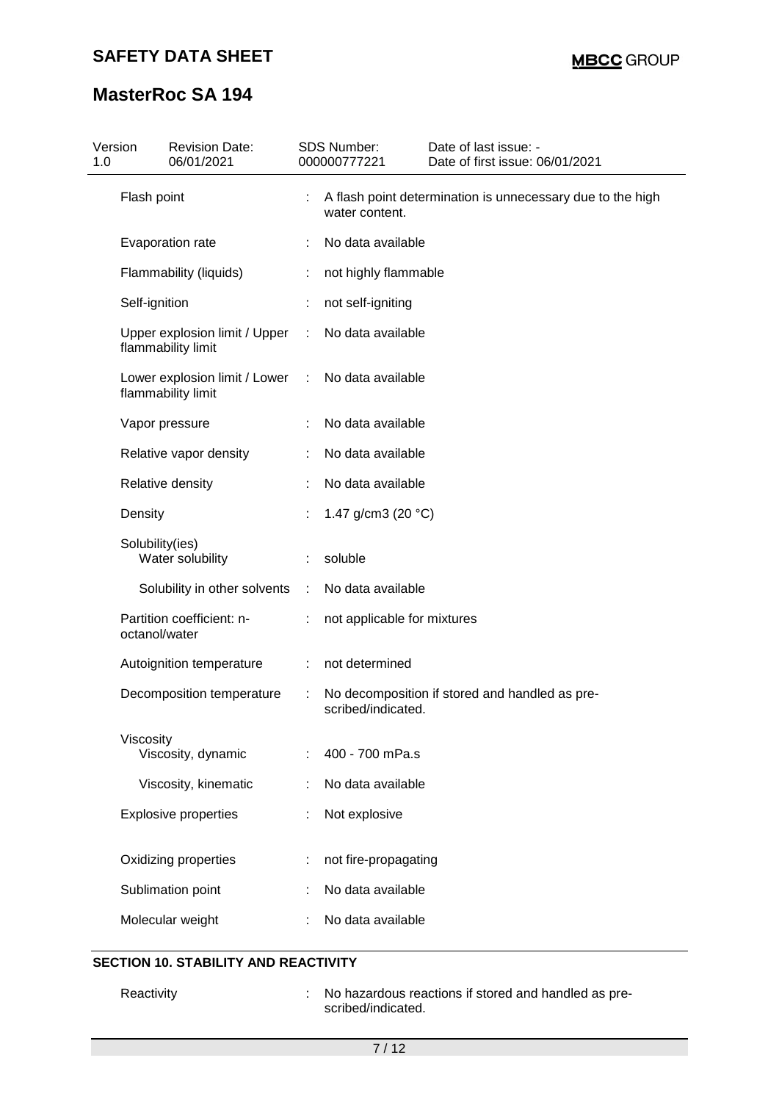| Version<br>1.0 | <b>Revision Date:</b><br>06/01/2021                 |        | <b>SDS Number:</b><br>000000777221 | Date of last issue: -<br>Date of first issue: 06/01/2021   |
|----------------|-----------------------------------------------------|--------|------------------------------------|------------------------------------------------------------|
|                | Flash point                                         |        | water content.                     | A flash point determination is unnecessary due to the high |
|                | Evaporation rate                                    |        | No data available                  |                                                            |
|                | Flammability (liquids)                              | ÷.     | not highly flammable               |                                                            |
|                | Self-ignition                                       |        | not self-igniting                  |                                                            |
|                | Upper explosion limit / Upper<br>flammability limit | ÷      | No data available                  |                                                            |
|                | Lower explosion limit / Lower<br>flammability limit | $\sim$ | No data available                  |                                                            |
|                | Vapor pressure                                      |        | No data available                  |                                                            |
|                | Relative vapor density                              |        | No data available                  |                                                            |
|                | Relative density                                    |        | No data available                  |                                                            |
|                | Density                                             |        | 1.47 g/cm3 (20 $°C$ )              |                                                            |
|                | Solubility(ies)<br>Water solubility                 | t.     | soluble                            |                                                            |
|                | Solubility in other solvents                        | ÷      | No data available                  |                                                            |
|                | Partition coefficient: n-<br>octanol/water          |        | not applicable for mixtures        |                                                            |
|                | Autoignition temperature                            | ÷.     | not determined                     |                                                            |
|                | Decomposition temperature                           | ÷      | scribed/indicated.                 | No decomposition if stored and handled as pre-             |
|                | Viscosity<br>Viscosity, dynamic                     |        | 400 - 700 mPa.s                    |                                                            |
|                | Viscosity, kinematic                                |        | No data available                  |                                                            |
|                | <b>Explosive properties</b>                         |        | Not explosive                      |                                                            |
|                | Oxidizing properties                                |        | not fire-propagating               |                                                            |
|                | Sublimation point                                   |        | No data available                  |                                                            |
|                | Molecular weight                                    |        | No data available                  |                                                            |

# **SECTION 10. STABILITY AND REACTIVITY**

Reactivity **Example 20** : No hazardous reactions if stored and handled as prescribed/indicated.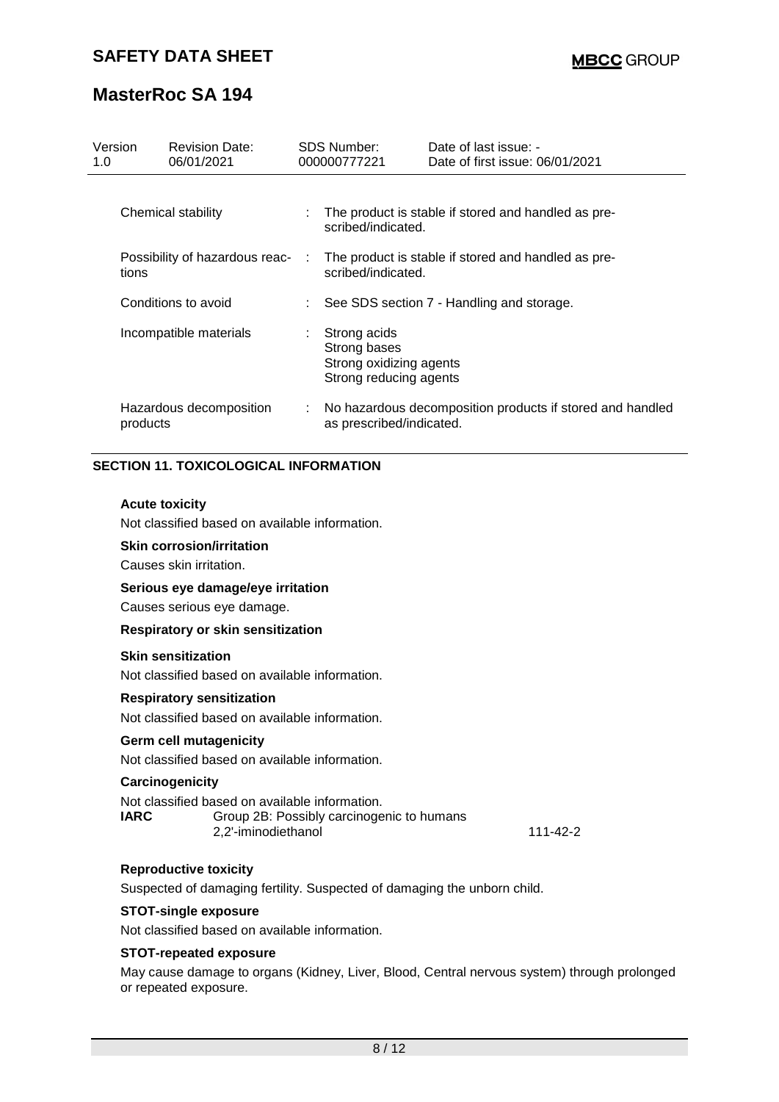| Version<br>1.0 | <b>Revision Date:</b><br>06/01/2021     |    | SDS Number:<br>000000777221                                                       | Date of last issue: -<br>Date of first issue: 06/01/2021  |
|----------------|-----------------------------------------|----|-----------------------------------------------------------------------------------|-----------------------------------------------------------|
|                | Chemical stability                      |    | The product is stable if stored and handled as pre-<br>scribed/indicated.         |                                                           |
|                | Possibility of hazardous reac-<br>tions | ÷  | The product is stable if stored and handled as pre-<br>scribed/indicated.         |                                                           |
|                | Conditions to avoid                     |    | See SDS section 7 - Handling and storage.                                         |                                                           |
|                | Incompatible materials                  | t. | Strong acids<br>Strong bases<br>Strong oxidizing agents<br>Strong reducing agents |                                                           |
|                | Hazardous decomposition<br>products     |    | as prescribed/indicated.                                                          | No hazardous decomposition products if stored and handled |

### **SECTION 11. TOXICOLOGICAL INFORMATION**

### **Acute toxicity**

Not classified based on available information.

### **Skin corrosion/irritation**

Causes skin irritation.

### **Serious eye damage/eye irritation**

Causes serious eye damage.

#### **Respiratory or skin sensitization**

### **Skin sensitization**

Not classified based on available information.

### **Respiratory sensitization**

Not classified based on available information.

#### **Germ cell mutagenicity**

Not classified based on available information.

#### **Carcinogenicity**

|             | Not classified based on available information. |
|-------------|------------------------------------------------|
| <b>IARC</b> | Group 2B: Possibly carcinogenic to humans      |
|             | 2.2'-iminodiethanol                            |

### **Reproductive toxicity**

Suspected of damaging fertility. Suspected of damaging the unborn child.

#### **STOT-single exposure**

Not classified based on available information.

## **STOT-repeated exposure**

May cause damage to organs (Kidney, Liver, Blood, Central nervous system) through prolonged or repeated exposure.

111-42-2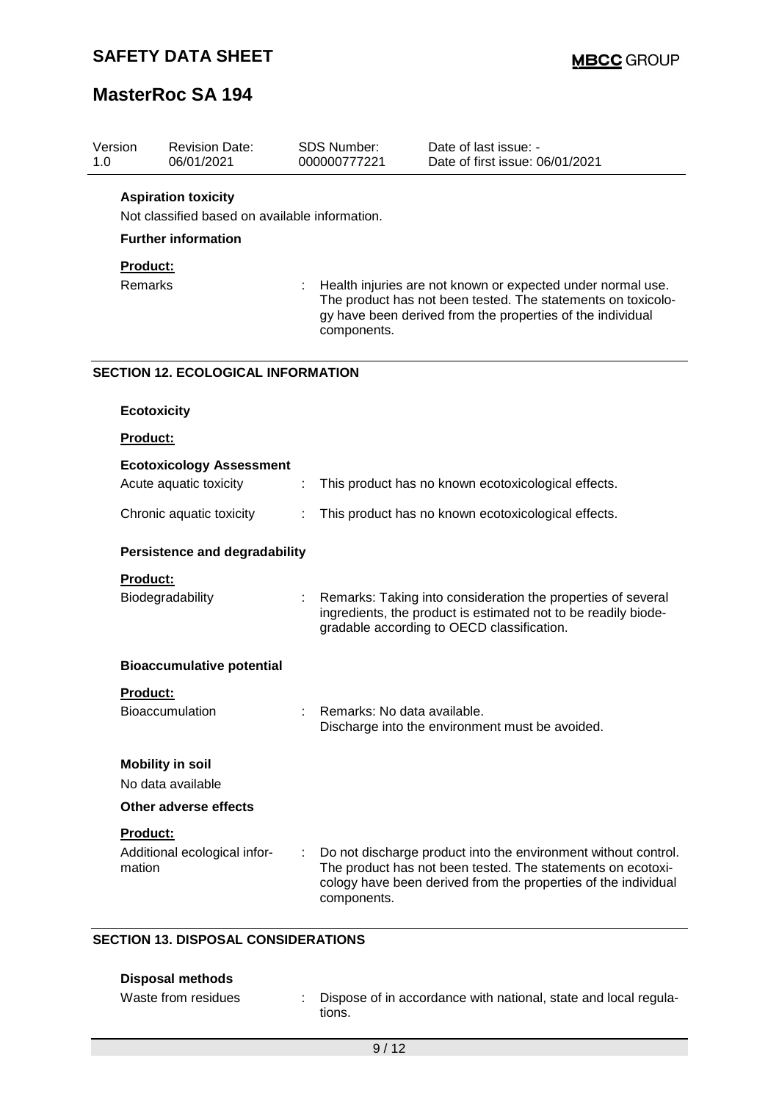| Version<br>1.0 |                 | <b>Revision Date:</b><br>06/01/2021            |   | <b>SDS Number:</b><br>000000777221                                                                                                                                                                       | Date of last issue: -<br>Date of first issue: 06/01/2021                                                                                                                                        |  |  |
|----------------|-----------------|------------------------------------------------|---|----------------------------------------------------------------------------------------------------------------------------------------------------------------------------------------------------------|-------------------------------------------------------------------------------------------------------------------------------------------------------------------------------------------------|--|--|
|                |                 | <b>Aspiration toxicity</b>                     |   |                                                                                                                                                                                                          |                                                                                                                                                                                                 |  |  |
|                |                 | Not classified based on available information. |   |                                                                                                                                                                                                          |                                                                                                                                                                                                 |  |  |
|                |                 | <b>Further information</b>                     |   |                                                                                                                                                                                                          |                                                                                                                                                                                                 |  |  |
|                | Product:        |                                                |   |                                                                                                                                                                                                          |                                                                                                                                                                                                 |  |  |
|                | Remarks         |                                                |   | Health injuries are not known or expected under normal use.<br>The product has not been tested. The statements on toxicolo-<br>gy have been derived from the properties of the individual<br>components. |                                                                                                                                                                                                 |  |  |
|                |                 | <b>SECTION 12. ECOLOGICAL INFORMATION</b>      |   |                                                                                                                                                                                                          |                                                                                                                                                                                                 |  |  |
|                |                 | <b>Ecotoxicity</b>                             |   |                                                                                                                                                                                                          |                                                                                                                                                                                                 |  |  |
|                | <b>Product:</b> |                                                |   |                                                                                                                                                                                                          |                                                                                                                                                                                                 |  |  |
|                |                 | <b>Ecotoxicology Assessment</b>                |   |                                                                                                                                                                                                          |                                                                                                                                                                                                 |  |  |
|                |                 | Acute aquatic toxicity                         | ÷ |                                                                                                                                                                                                          | This product has no known ecotoxicological effects.                                                                                                                                             |  |  |
|                |                 | Chronic aquatic toxicity                       | ÷ | This product has no known ecotoxicological effects.                                                                                                                                                      |                                                                                                                                                                                                 |  |  |
|                |                 | <b>Persistence and degradability</b>           |   |                                                                                                                                                                                                          |                                                                                                                                                                                                 |  |  |
|                | <b>Product:</b> |                                                |   |                                                                                                                                                                                                          |                                                                                                                                                                                                 |  |  |
|                |                 | Biodegradability                               |   |                                                                                                                                                                                                          | Remarks: Taking into consideration the properties of several<br>ingredients, the product is estimated not to be readily biode-<br>gradable according to OECD classification.                    |  |  |
|                |                 | <b>Bioaccumulative potential</b>               |   |                                                                                                                                                                                                          |                                                                                                                                                                                                 |  |  |
|                | <b>Product:</b> |                                                |   |                                                                                                                                                                                                          |                                                                                                                                                                                                 |  |  |
|                |                 | <b>Bioaccumulation</b>                         |   | Remarks: No data available.                                                                                                                                                                              | Discharge into the environment must be avoided.                                                                                                                                                 |  |  |
|                |                 | <b>Mobility in soil</b><br>No data available   |   |                                                                                                                                                                                                          |                                                                                                                                                                                                 |  |  |
|                |                 | Other adverse effects                          |   |                                                                                                                                                                                                          |                                                                                                                                                                                                 |  |  |
|                | Product:        |                                                |   |                                                                                                                                                                                                          |                                                                                                                                                                                                 |  |  |
|                | mation          | Additional ecological infor-                   | ÷ | components.                                                                                                                                                                                              | Do not discharge product into the environment without control.<br>The product has not been tested. The statements on ecotoxi-<br>cology have been derived from the properties of the individual |  |  |

## **SECTION 13. DISPOSAL CONSIDERATIONS**

| Disposal methods    |                                                                           |
|---------------------|---------------------------------------------------------------------------|
| Waste from residues | Dispose of in accordance with national, state and local regula-<br>tions. |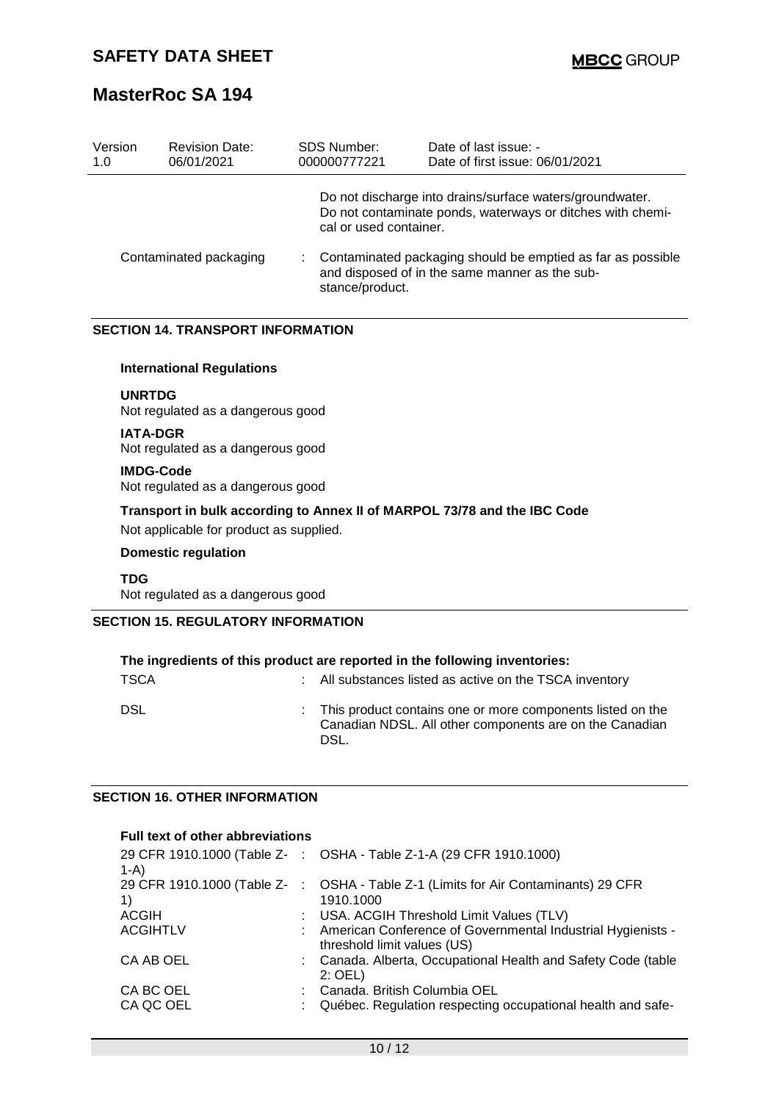| Version<br>1.0         | <b>Revision Date:</b><br>06/01/2021 | <b>SDS Number:</b><br>000000777221                                                                                               | Date of last issue: -<br>Date of first issue: 06/01/2021                                                               |  |
|------------------------|-------------------------------------|----------------------------------------------------------------------------------------------------------------------------------|------------------------------------------------------------------------------------------------------------------------|--|
|                        |                                     | cal or used container.                                                                                                           | Do not discharge into drains/surface waters/groundwater.<br>Do not contaminate ponds, waterways or ditches with chemi- |  |
| Contaminated packaging |                                     | Contaminated packaging should be emptied as far as possible<br>and disposed of in the same manner as the sub-<br>stance/product. |                                                                                                                        |  |

## **SECTION 14. TRANSPORT INFORMATION**

### **International Regulations**

#### **UNRTDG**

Not regulated as a dangerous good

#### **IATA-DGR**

Not regulated as a dangerous good

#### **IMDG-Code**

Not regulated as a dangerous good

### **Transport in bulk according to Annex II of MARPOL 73/78 and the IBC Code**

Not applicable for product as supplied.

#### **Domestic regulation**

**TDG** Not regulated as a dangerous good

### **SECTION 15. REGULATORY INFORMATION**

| The ingredients of this product are reported in the following inventories: |  |                                                                                                                                 |  |
|----------------------------------------------------------------------------|--|---------------------------------------------------------------------------------------------------------------------------------|--|
| <b>TSCA</b>                                                                |  | : All substances listed as active on the TSCA inventory                                                                         |  |
| <b>DSL</b>                                                                 |  | : This product contains one or more components listed on the<br>Canadian NDSL. All other components are on the Canadian<br>DSL. |  |

## **SECTION 16. OTHER INFORMATION**

### **Full text of other abbreviations**

| $1-A$           | 29 CFR 1910.1000 (Table Z- : OSHA - Table Z-1-A (29 CFR 1910.1000)                              |
|-----------------|-------------------------------------------------------------------------------------------------|
| 1)              | 29 CFR 1910.1000 (Table Z- : OSHA - Table Z-1 (Limits for Air Contaminants) 29 CFR<br>1910.1000 |
|                 |                                                                                                 |
| ACGIH           | : USA. ACGIH Threshold Limit Values (TLV)                                                       |
| <b>ACGIHTLV</b> | : American Conference of Governmental Industrial Hygienists -<br>threshold limit values (US)    |
| CA AB OEL       | : Canada. Alberta, Occupational Health and Safety Code (table<br>$2:$ OEL)                      |
| CA BC OEL       | : Canada. British Columbia OEL                                                                  |
| CA QC OEL       | : Québec. Regulation respecting occupational health and safe-                                   |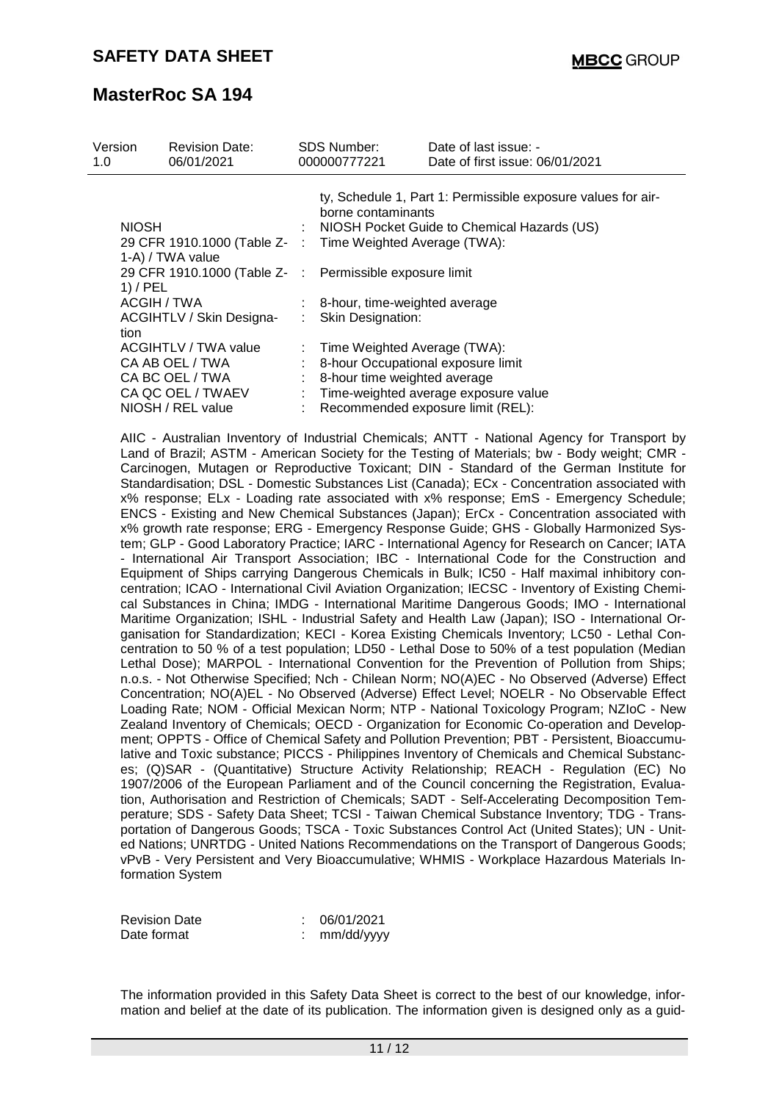| Version<br>1.0     | <b>Revision Date:</b><br>06/01/2021                                                                  | <b>SDS Number:</b><br>000000777221                                                                                                                                                                                                                          | Date of last issue: -<br>Date of first issue: 06/01/2021                    |
|--------------------|------------------------------------------------------------------------------------------------------|-------------------------------------------------------------------------------------------------------------------------------------------------------------------------------------------------------------------------------------------------------------|-----------------------------------------------------------------------------|
| <b>NIOSH</b>       | 1-A) / TWA value                                                                                     | ty, Schedule 1, Part 1: Permissible exposure values for air-<br>borne contaminants<br>: NIOSH Pocket Guide to Chemical Hazards (US)<br>29 CFR 1910.1000 (Table Z- : Time Weighted Average (TWA):<br>29 CFR 1910.1000 (Table Z- : Permissible exposure limit |                                                                             |
| $1)$ / PEL<br>tion | ACGIH / TWA<br>ACGIHTLV / Skin Designa-                                                              | $:$ 8-hour, time-weighted average<br><b>Skin Designation:</b>                                                                                                                                                                                               |                                                                             |
|                    | ACGIHTLV / TWA value<br>CA AB OEL / TWA<br>CA BC OEL / TWA<br>CA QC OEL / TWAEV<br>NIOSH / REL value | : Time Weighted Average (TWA):<br>8-hour Occupational exposure limit<br>: 8-hour time weighted average                                                                                                                                                      | : Time-weighted average exposure value<br>Recommended exposure limit (REL): |

AIIC - Australian Inventory of Industrial Chemicals; ANTT - National Agency for Transport by Land of Brazil; ASTM - American Society for the Testing of Materials; bw - Body weight; CMR - Carcinogen, Mutagen or Reproductive Toxicant; DIN - Standard of the German Institute for Standardisation; DSL - Domestic Substances List (Canada); ECx - Concentration associated with x% response; ELx - Loading rate associated with x% response; EmS - Emergency Schedule; ENCS - Existing and New Chemical Substances (Japan); ErCx - Concentration associated with x% growth rate response; ERG - Emergency Response Guide; GHS - Globally Harmonized System; GLP - Good Laboratory Practice; IARC - International Agency for Research on Cancer; IATA - International Air Transport Association; IBC - International Code for the Construction and Equipment of Ships carrying Dangerous Chemicals in Bulk; IC50 - Half maximal inhibitory concentration; ICAO - International Civil Aviation Organization; IECSC - Inventory of Existing Chemical Substances in China; IMDG - International Maritime Dangerous Goods; IMO - International Maritime Organization; ISHL - Industrial Safety and Health Law (Japan); ISO - International Organisation for Standardization; KECI - Korea Existing Chemicals Inventory; LC50 - Lethal Concentration to 50 % of a test population; LD50 - Lethal Dose to 50% of a test population (Median Lethal Dose); MARPOL - International Convention for the Prevention of Pollution from Ships; n.o.s. - Not Otherwise Specified; Nch - Chilean Norm; NO(A)EC - No Observed (Adverse) Effect Concentration; NO(A)EL - No Observed (Adverse) Effect Level; NOELR - No Observable Effect Loading Rate; NOM - Official Mexican Norm; NTP - National Toxicology Program; NZIoC - New Zealand Inventory of Chemicals; OECD - Organization for Economic Co-operation and Development; OPPTS - Office of Chemical Safety and Pollution Prevention; PBT - Persistent, Bioaccumulative and Toxic substance; PICCS - Philippines Inventory of Chemicals and Chemical Substances; (Q)SAR - (Quantitative) Structure Activity Relationship; REACH - Regulation (EC) No 1907/2006 of the European Parliament and of the Council concerning the Registration, Evaluation, Authorisation and Restriction of Chemicals; SADT - Self-Accelerating Decomposition Temperature; SDS - Safety Data Sheet; TCSI - Taiwan Chemical Substance Inventory; TDG - Transportation of Dangerous Goods; TSCA - Toxic Substances Control Act (United States); UN - United Nations; UNRTDG - United Nations Recommendations on the Transport of Dangerous Goods; vPvB - Very Persistent and Very Bioaccumulative; WHMIS - Workplace Hazardous Materials Information System

| <b>Revision Date</b> | 06/01/2021 |
|----------------------|------------|
| Date format          | mm/dd/yyyy |

The information provided in this Safety Data Sheet is correct to the best of our knowledge, information and belief at the date of its publication. The information given is designed only as a guid-